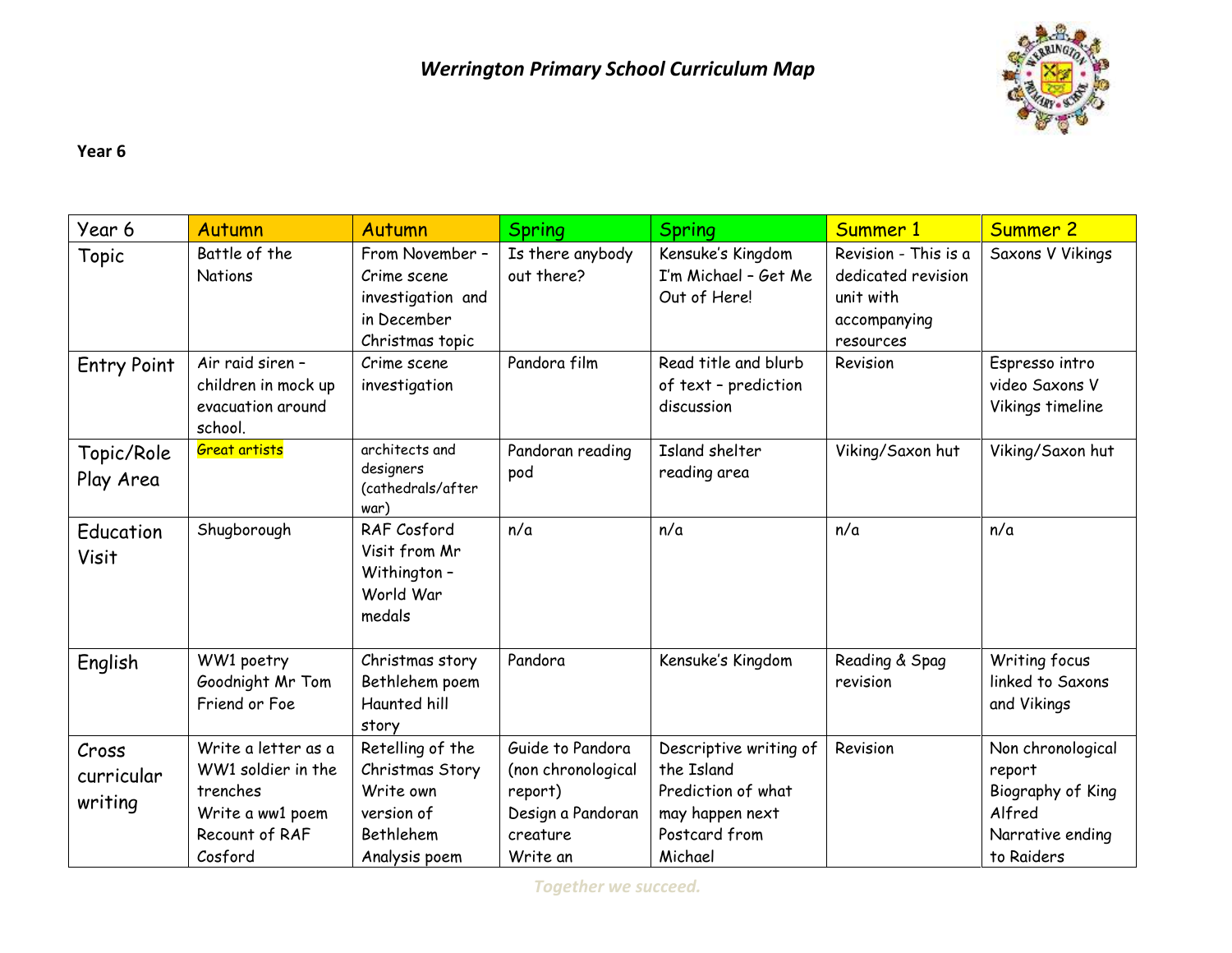

## **Year 6**

| Year 6                         | <b>Autumn</b>                                                                                          | Autumn                                                                                              | <b>Spring</b>                                                                                  | <b>Spring</b>                                                                                             | Summer 1                                                                             | <b>Summer 2</b>                                                                              |
|--------------------------------|--------------------------------------------------------------------------------------------------------|-----------------------------------------------------------------------------------------------------|------------------------------------------------------------------------------------------------|-----------------------------------------------------------------------------------------------------------|--------------------------------------------------------------------------------------|----------------------------------------------------------------------------------------------|
| Topic                          | Battle of the<br><b>Nations</b>                                                                        | From November -<br>Crime scene<br>investigation and<br>in December<br>Christmas topic               | Is there anybody<br>out there?                                                                 | Kensuke's Kingdom<br>I'm Michael - Get Me<br>Out of Here!                                                 | Revision - This is a<br>dedicated revision<br>unit with<br>accompanying<br>resources | Saxons V Vikings                                                                             |
| <b>Entry Point</b>             | Air raid siren -<br>children in mock up<br>evacuation around<br>school.                                | Crime scene<br>investigation                                                                        | Pandora film                                                                                   | Read title and blurb<br>of text - prediction<br>discussion                                                | Revision                                                                             | Espresso intro<br>video Saxons V<br>Vikings timeline                                         |
| Topic/Role<br>Play Area        | <b>Great artists</b>                                                                                   | architects and<br>designers<br>(cathedrals/after<br>war)                                            | Pandoran reading<br>pod                                                                        | Island shelter<br>reading area                                                                            | Viking/Saxon hut                                                                     | Viking/Saxon hut                                                                             |
| Education<br>Visit             | Shugborough                                                                                            | RAF Cosford<br>Visit from Mr<br>Withington-<br>World War<br>medals                                  | n/a                                                                                            | n/a                                                                                                       | n/a                                                                                  | n/a                                                                                          |
| English                        | WW1 poetry<br>Goodnight Mr Tom<br>Friend or Foe                                                        | Christmas story<br>Bethlehem poem<br>Haunted hill<br>story                                          | Pandora                                                                                        | Kensuke's Kingdom                                                                                         | Reading & Spag<br>revision                                                           | Writing focus<br>linked to Saxons<br>and Vikings                                             |
| Cross<br>curricular<br>writing | Write a letter as a<br>WW1 soldier in the<br>trenches<br>Write a ww1 poem<br>Recount of RAF<br>Cosford | Retelling of the<br>Christmas Story<br>Write own<br>version of<br><b>Bethlehem</b><br>Analysis poem | Guide to Pandora<br>(non chronological<br>report)<br>Design a Pandoran<br>creature<br>Write an | Descriptive writing of<br>the Island<br>Prediction of what<br>may happen next<br>Postcard from<br>Michael | Revision                                                                             | Non chronological<br>report<br>Biography of King<br>Alfred<br>Narrative ending<br>to Raiders |

*Together we succeed.*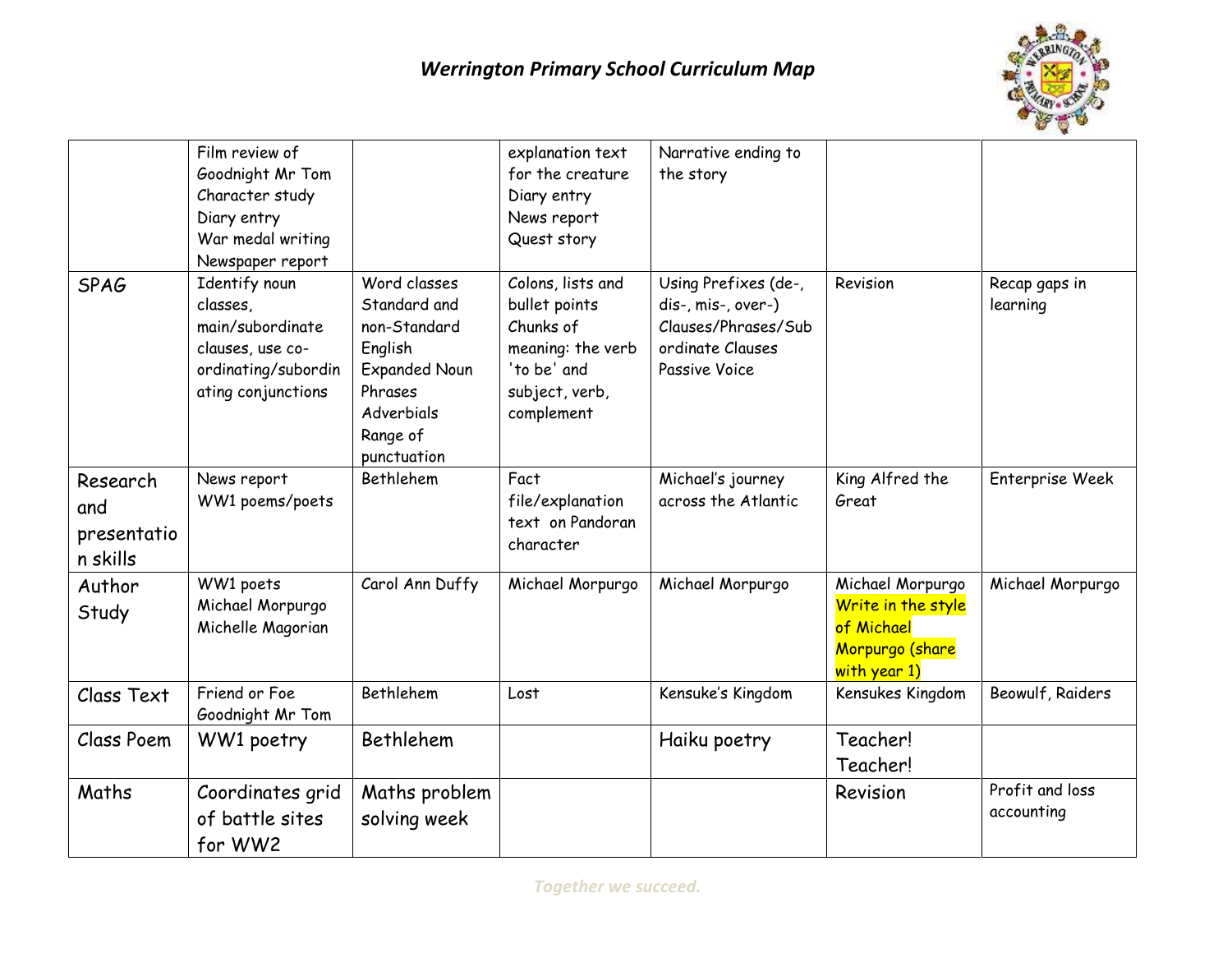

|                                            | Film review of<br>Goodnight Mr Tom<br>Character study<br>Diary entry<br>War medal writing<br>Newspaper report  |                                                                                                                                     | explanation text<br>for the creature<br>Diary entry<br>News report<br>Quest story                                   | Narrative ending to<br>the story                                                                       |                                                                                         |                               |
|--------------------------------------------|----------------------------------------------------------------------------------------------------------------|-------------------------------------------------------------------------------------------------------------------------------------|---------------------------------------------------------------------------------------------------------------------|--------------------------------------------------------------------------------------------------------|-----------------------------------------------------------------------------------------|-------------------------------|
| <b>SPAG</b>                                | Identify noun<br>classes,<br>main/subordinate<br>clauses, use co-<br>ordinating/subordin<br>ating conjunctions | Word classes<br>Standard and<br>non-Standard<br>English<br><b>Expanded Noun</b><br>Phrases<br>Adverbials<br>Range of<br>punctuation | Colons, lists and<br>bullet points<br>Chunks of<br>meaning: the verb<br>'to be' and<br>subject, verb,<br>complement | Using Prefixes (de-,<br>dis-, mis-, over-)<br>Clauses/Phrases/Sub<br>ordinate Clauses<br>Passive Voice | Revision                                                                                | Recap gaps in<br>learning     |
| Research<br>and<br>presentatio<br>n skills | News report<br>WW1 poems/poets                                                                                 | Bethlehem                                                                                                                           | Fact<br>file/explanation<br>text on Pandoran<br>character                                                           | Michael's journey<br>across the Atlantic                                                               | King Alfred the<br>Great                                                                | Enterprise Week               |
| Author<br>Study                            | WW1 poets<br>Michael Morpurgo<br>Michelle Magorian                                                             | Carol Ann Duffy                                                                                                                     | Michael Morpurgo                                                                                                    | Michael Morpurgo                                                                                       | Michael Morpurgo<br>Write in the style<br>of Michael<br>Morpurgo (share<br>with year 1) | Michael Morpurgo              |
| Class Text                                 | Friend or Foe<br>Goodnight Mr Tom                                                                              | Bethlehem                                                                                                                           | Lost                                                                                                                | Kensuke's Kingdom                                                                                      | Kensukes Kingdom                                                                        | Beowulf, Raiders              |
| Class Poem                                 | WW1 poetry                                                                                                     | Bethlehem                                                                                                                           |                                                                                                                     | Haiku poetry                                                                                           | Teacher!<br>Teacher!                                                                    |                               |
| Maths                                      | Coordinates grid<br>of battle sites<br>for WW2                                                                 | Maths problem<br>solving week                                                                                                       |                                                                                                                     |                                                                                                        | Revision                                                                                | Profit and loss<br>accounting |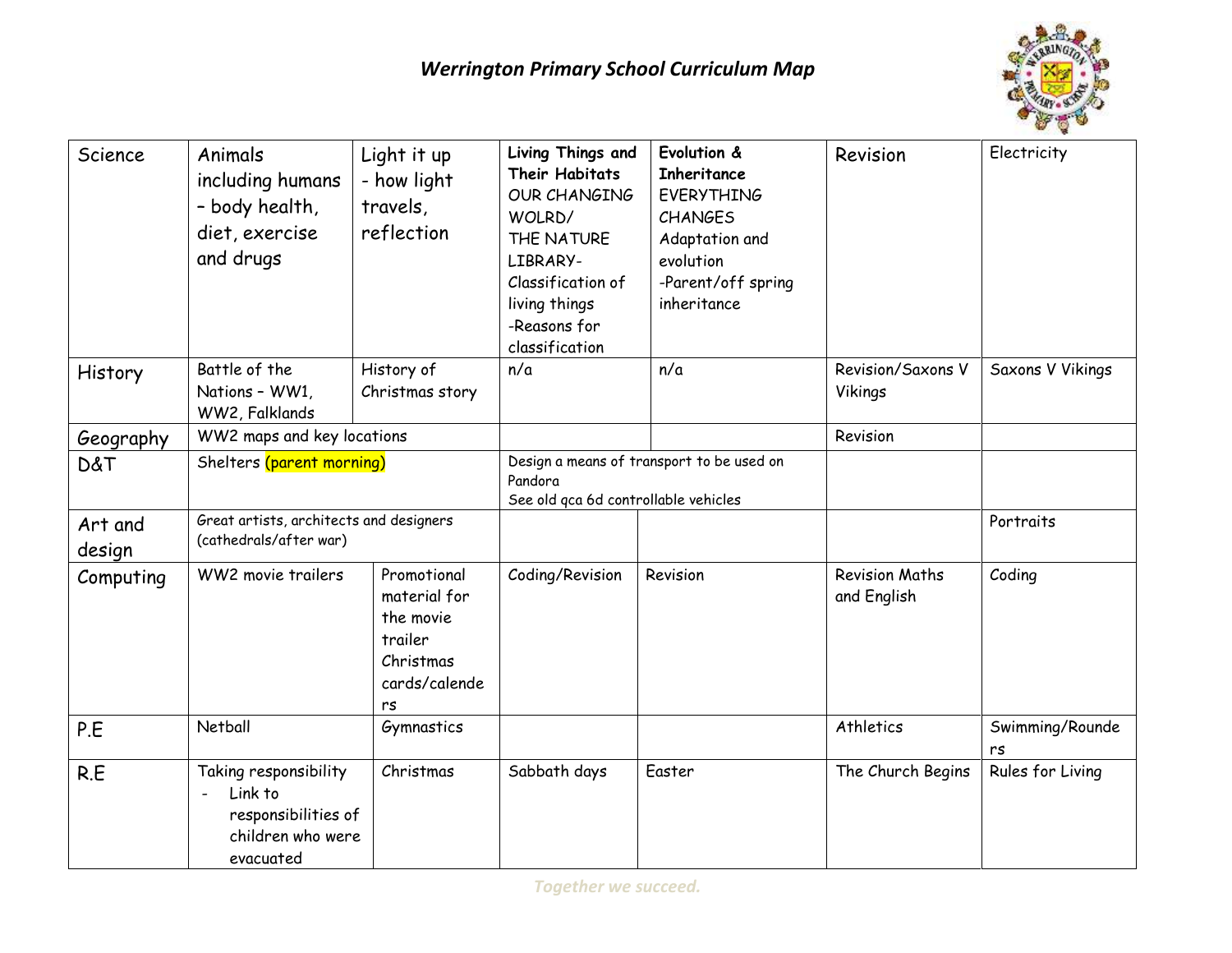

| Science           | Animals<br>including humans<br>- body health,<br>diet, exercise<br>and drugs              | Light it up<br>- how light<br>travels,<br>reflection                                    | Living Things and<br><b>Their Habitats</b><br><b>OUR CHANGING</b><br>WOLRD/<br>THE NATURE<br>LIBRARY-<br>Classification of<br>living things<br>-Reasons for<br>classification | Evolution &<br>Inheritance<br><b>EVERYTHING</b><br><b>CHANGES</b><br>Adaptation and<br>evolution<br>-Parent/off spring<br>inheritance | Revision                             | Electricity           |
|-------------------|-------------------------------------------------------------------------------------------|-----------------------------------------------------------------------------------------|-------------------------------------------------------------------------------------------------------------------------------------------------------------------------------|---------------------------------------------------------------------------------------------------------------------------------------|--------------------------------------|-----------------------|
| History           | Battle of the<br>Nations - WW1,<br>WW2, Falklands                                         | History of<br>Christmas story                                                           | n/a                                                                                                                                                                           | n/a                                                                                                                                   | Revision/Saxons V<br>Vikings         | Saxons V Vikings      |
| Geography         | WW2 maps and key locations                                                                |                                                                                         |                                                                                                                                                                               |                                                                                                                                       | Revision                             |                       |
| <b>D&amp;T</b>    | Shelters (parent morning)                                                                 |                                                                                         | Design a means of transport to be used on<br>Pandora<br>See old qca 6d controllable vehicles                                                                                  |                                                                                                                                       |                                      |                       |
| Art and<br>design | Great artists, architects and designers<br>(cathedrals/after war)                         |                                                                                         |                                                                                                                                                                               |                                                                                                                                       |                                      | Portraits             |
| Computing         | WW2 movie trailers                                                                        | Promotional<br>material for<br>the movie<br>trailer<br>Christmas<br>cards/calende<br>rs | Coding/Revision                                                                                                                                                               | Revision                                                                                                                              | <b>Revision Maths</b><br>and English | Coding                |
| P.E               | Netball                                                                                   | Gymnastics                                                                              |                                                                                                                                                                               |                                                                                                                                       | Athletics                            | Swimming/Rounde<br>rs |
| R.E               | Taking responsibility<br>Link to<br>responsibilities of<br>children who were<br>evacuated | Christmas                                                                               | Sabbath days                                                                                                                                                                  | Easter                                                                                                                                | The Church Begins                    | Rules for Living      |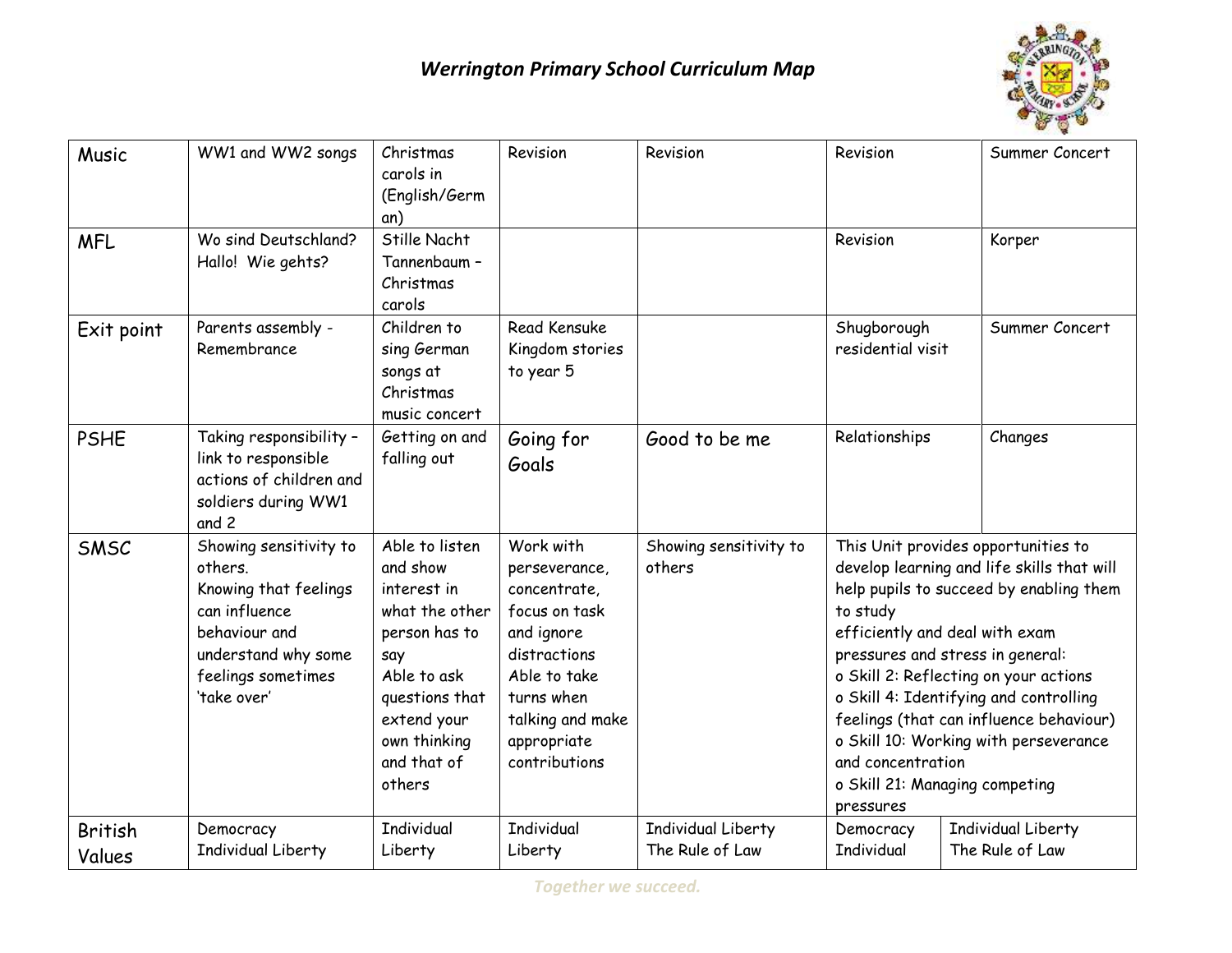## *Werrington Primary School Curriculum Map*



| Music                    | WW1 and WW2 songs                                                                                                                                        | Christmas<br>carols in<br>(English/Germ<br>an)                                                                                                                               | Revision                                                                                                                                                                    | Revision                              | Revision                                                                                                                                                                                                                                                                                                                                                                                                                                                  | Summer Concert                        |
|--------------------------|----------------------------------------------------------------------------------------------------------------------------------------------------------|------------------------------------------------------------------------------------------------------------------------------------------------------------------------------|-----------------------------------------------------------------------------------------------------------------------------------------------------------------------------|---------------------------------------|-----------------------------------------------------------------------------------------------------------------------------------------------------------------------------------------------------------------------------------------------------------------------------------------------------------------------------------------------------------------------------------------------------------------------------------------------------------|---------------------------------------|
| <b>MFL</b>               | Wo sind Deutschland?<br>Hallo! Wie gehts?                                                                                                                | Stille Nacht<br>Tannenbaum -<br>Christmas<br>carols                                                                                                                          |                                                                                                                                                                             |                                       | Revision                                                                                                                                                                                                                                                                                                                                                                                                                                                  | Korper                                |
| Exit point               | Parents assembly -<br>Remembrance                                                                                                                        | Children to<br>sing German<br>songs at<br>Christmas<br>music concert                                                                                                         | <b>Read Kensuke</b><br>Kingdom stories<br>to year 5                                                                                                                         |                                       | Shugborough<br>residential visit                                                                                                                                                                                                                                                                                                                                                                                                                          | Summer Concert                        |
| <b>PSHE</b>              | Taking responsibility -<br>link to responsible<br>actions of children and<br>soldiers during WW1<br>and 2                                                | Getting on and<br>falling out                                                                                                                                                | Going for<br>Goals                                                                                                                                                          | Good to be me                         | Relationships                                                                                                                                                                                                                                                                                                                                                                                                                                             | Changes                               |
| SMSC                     | Showing sensitivity to<br>others.<br>Knowing that feelings<br>can influence<br>behaviour and<br>understand why some<br>feelings sometimes<br>'take over' | Able to listen<br>and show<br>interest in<br>what the other<br>person has to<br>say<br>Able to ask<br>questions that<br>extend your<br>own thinking<br>and that of<br>others | Work with<br>perseverance,<br>concentrate,<br>focus on task<br>and ignore<br>distractions<br>Able to take<br>turns when<br>talking and make<br>appropriate<br>contributions | Showing sensitivity to<br>others      | This Unit provides opportunities to<br>develop learning and life skills that will<br>help pupils to succeed by enabling them<br>to study<br>efficiently and deal with exam<br>pressures and stress in general:<br>o Skill 2: Reflecting on your actions<br>o Skill 4: Identifying and controlling<br>feelings (that can influence behaviour)<br>o Skill 10: Working with perseverance<br>and concentration<br>o Skill 21: Managing competing<br>pressures |                                       |
| <b>British</b><br>Values | Democracy<br>Individual Liberty                                                                                                                          | <b>Individual</b><br>Liberty                                                                                                                                                 | <b>Individual</b><br>Liberty                                                                                                                                                | Individual Liberty<br>The Rule of Law | Democracy<br><b>Individual</b>                                                                                                                                                                                                                                                                                                                                                                                                                            | Individual Liberty<br>The Rule of Law |